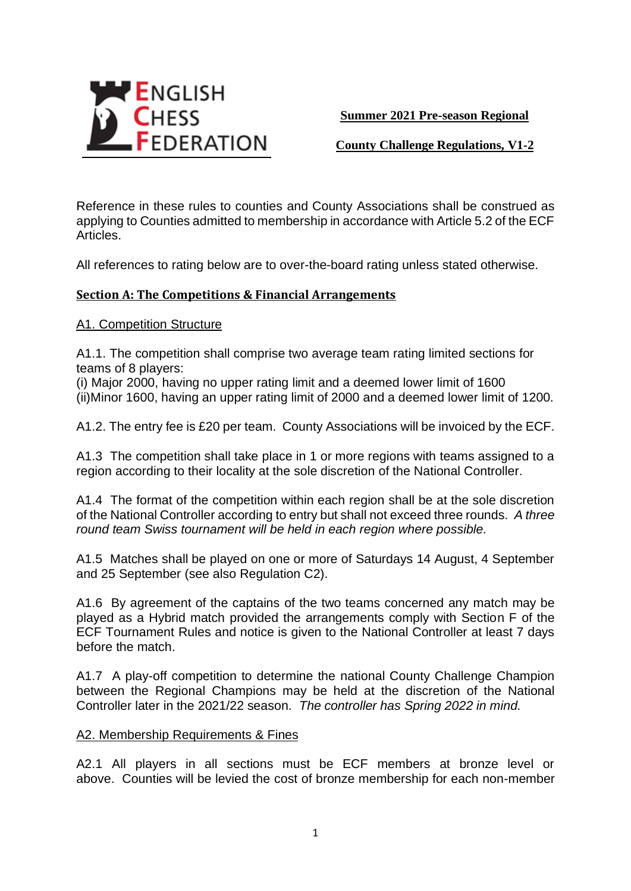

**Summer 2021 Pre-season Regional** 

**County Challenge Regulations, V1-2**

Reference in these rules to counties and County Associations shall be construed as applying to Counties admitted to membership in accordance with Article 5.2 of the ECF Articles.

All references to rating below are to over-the-board rating unless stated otherwise.

## **Section A: The Competitions & Financial Arrangements**

A1. Competition Structure

A1.1. The competition shall comprise two average team rating limited sections for teams of 8 players:

(i) Major 2000, having no upper rating limit and a deemed lower limit of 1600 (ii)Minor 1600, having an upper rating limit of 2000 and a deemed lower limit of 1200.

A1.2. The entry fee is £20 per team. County Associations will be invoiced by the ECF.

A1.3 The competition shall take place in 1 or more regions with teams assigned to a region according to their locality at the sole discretion of the National Controller.

A1.4 The format of the competition within each region shall be at the sole discretion of the National Controller according to entry but shall not exceed three rounds. *A three round team Swiss tournament will be held in each region where possible.*

A1.5 Matches shall be played on one or more of Saturdays 14 August, 4 September and 25 September (see also Regulation C2).

A1.6 By agreement of the captains of the two teams concerned any match may be played as a Hybrid match provided the arrangements comply with Section F of the ECF Tournament Rules and notice is given to the National Controller at least 7 days before the match.

A1.7 A play-off competition to determine the national County Challenge Champion between the Regional Champions may be held at the discretion of the National Controller later in the 2021/22 season. *The controller has Spring 2022 in mind.*

### A2. Membership Requirements & Fines

A2.1 All players in all sections must be ECF members at bronze level or above. Counties will be levied the cost of bronze membership for each non-member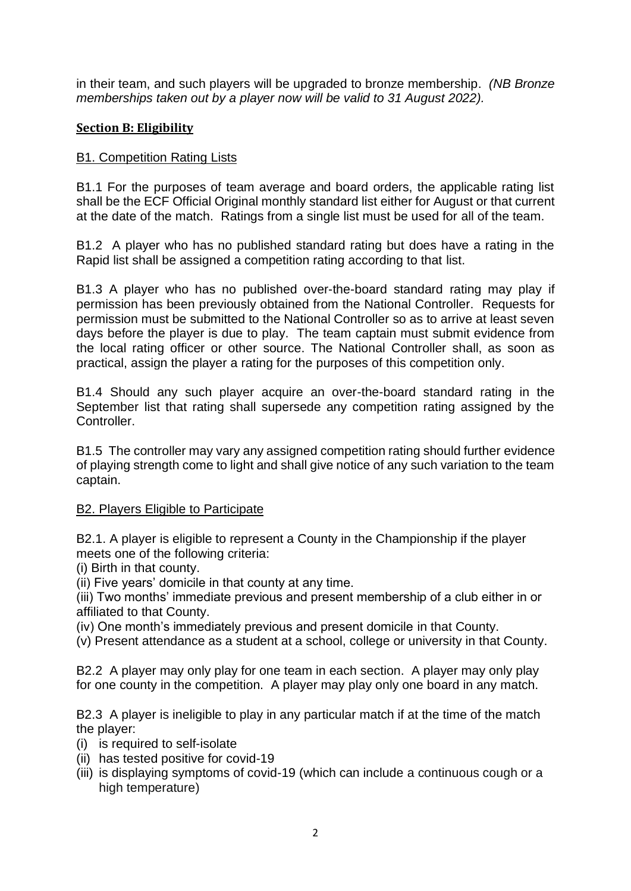in their team, and such players will be upgraded to bronze membership. *(NB Bronze memberships taken out by a player now will be valid to 31 August 2022).*

# **Section B: Eligibility**

# B1. Competition Rating Lists

B1.1 For the purposes of team average and board orders, the applicable rating list shall be the ECF Official Original monthly standard list either for August or that current at the date of the match. Ratings from a single list must be used for all of the team.

B1.2 A player who has no published standard rating but does have a rating in the Rapid list shall be assigned a competition rating according to that list.

B1.3 A player who has no published over-the-board standard rating may play if permission has been previously obtained from the National Controller. Requests for permission must be submitted to the National Controller so as to arrive at least seven days before the player is due to play. The team captain must submit evidence from the local rating officer or other source. The National Controller shall, as soon as practical, assign the player a rating for the purposes of this competition only.

B1.4 Should any such player acquire an over-the-board standard rating in the September list that rating shall supersede any competition rating assigned by the Controller.

B1.5 The controller may vary any assigned competition rating should further evidence of playing strength come to light and shall give notice of any such variation to the team captain.

## B2. Players Eligible to Participate

B2.1. A player is eligible to represent a County in the Championship if the player meets one of the following criteria:

(i) Birth in that county.

(ii) Five years' domicile in that county at any time.

(iii) Two months' immediate previous and present membership of a club either in or affiliated to that County.

(iv) One month's immediately previous and present domicile in that County.

(v) Present attendance as a student at a school, college or university in that County.

B2.2 A player may only play for one team in each section. A player may only play for one county in the competition. A player may play only one board in any match.

B2.3 A player is ineligible to play in any particular match if at the time of the match the player:

- (i) is required to self-isolate
- (ii) has tested positive for covid-19
- (iii) is displaying symptoms of covid-19 (which can include a continuous cough or a high temperature)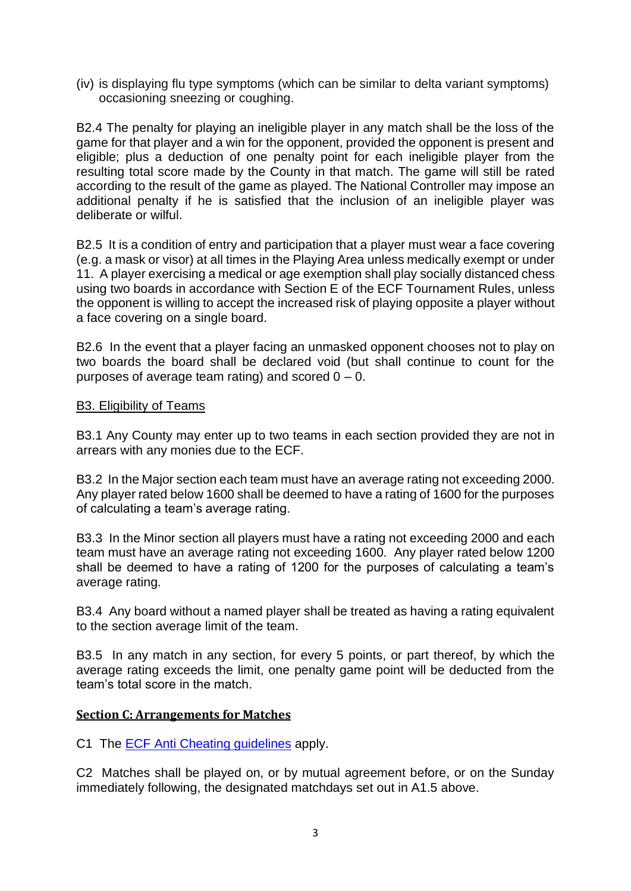(iv) is displaying flu type symptoms (which can be similar to delta variant symptoms) occasioning sneezing or coughing.

B2.4 The penalty for playing an ineligible player in any match shall be the loss of the game for that player and a win for the opponent, provided the opponent is present and eligible; plus a deduction of one penalty point for each ineligible player from the resulting total score made by the County in that match. The game will still be rated according to the result of the game as played. The National Controller may impose an additional penalty if he is satisfied that the inclusion of an ineligible player was deliberate or wilful.

B2.5 It is a condition of entry and participation that a player must wear a face covering (e.g. a mask or visor) at all times in the Playing Area unless medically exempt or under 11. A player exercising a medical or age exemption shall play socially distanced chess using two boards in accordance with Section E of the ECF Tournament Rules, unless the opponent is willing to accept the increased risk of playing opposite a player without a face covering on a single board.

B2.6 In the event that a player facing an unmasked opponent chooses not to play on two boards the board shall be declared void (but shall continue to count for the purposes of average team rating) and scored  $0 - 0$ .

### B3. Eligibility of Teams

B3.1 Any County may enter up to two teams in each section provided they are not in arrears with any monies due to the ECF.

B3.2 In the Major section each team must have an average rating not exceeding 2000. Any player rated below 1600 shall be deemed to have a rating of 1600 for the purposes of calculating a team's average rating.

B3.3 In the Minor section all players must have a rating not exceeding 2000 and each team must have an average rating not exceeding 1600. Any player rated below 1200 shall be deemed to have a rating of 1200 for the purposes of calculating a team's average rating.

B3.4 Any board without a named player shall be treated as having a rating equivalent to the section average limit of the team.

B3.5 In any match in any section, for every 5 points, or part thereof, by which the average rating exceeds the limit, one penalty game point will be deducted from the team's total score in the match.

## **Section C: Arrangements for Matches**

C1 The [ECF Anti Cheating guidelines](https://www.englishchess.org.uk/wp-content/uploads/2019/12/Anti-Cheating-Document.pdf) apply.

C2 Matches shall be played on, or by mutual agreement before, or on the Sunday immediately following, the designated matchdays set out in A1.5 above.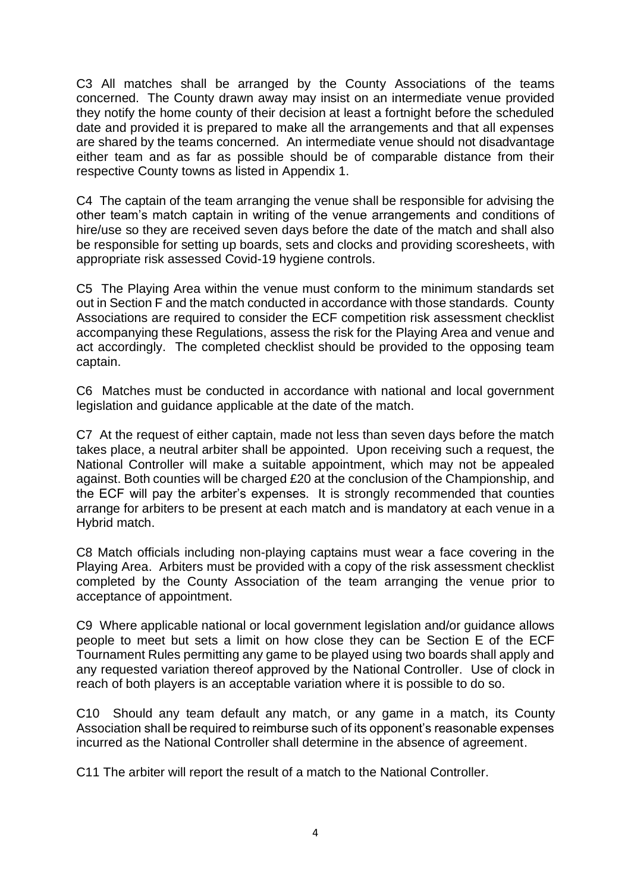C3 All matches shall be arranged by the County Associations of the teams concerned. The County drawn away may insist on an intermediate venue provided they notify the home county of their decision at least a fortnight before the scheduled date and provided it is prepared to make all the arrangements and that all expenses are shared by the teams concerned. An intermediate venue should not disadvantage either team and as far as possible should be of comparable distance from their respective County towns as listed in Appendix 1.

C4 The captain of the team arranging the venue shall be responsible for advising the other team's match captain in writing of the venue arrangements and conditions of hire/use so they are received seven days before the date of the match and shall also be responsible for setting up boards, sets and clocks and providing scoresheets, with appropriate risk assessed Covid-19 hygiene controls.

C5 The Playing Area within the venue must conform to the minimum standards set out in Section F and the match conducted in accordance with those standards. County Associations are required to consider the ECF competition risk assessment checklist accompanying these Regulations, assess the risk for the Playing Area and venue and act accordingly. The completed checklist should be provided to the opposing team captain.

C6 Matches must be conducted in accordance with national and local government legislation and guidance applicable at the date of the match.

C7 At the request of either captain, made not less than seven days before the match takes place, a neutral arbiter shall be appointed. Upon receiving such a request, the National Controller will make a suitable appointment, which may not be appealed against. Both counties will be charged £20 at the conclusion of the Championship, and the ECF will pay the arbiter's expenses. It is strongly recommended that counties arrange for arbiters to be present at each match and is mandatory at each venue in a Hybrid match.

C8 Match officials including non-playing captains must wear a face covering in the Playing Area. Arbiters must be provided with a copy of the risk assessment checklist completed by the County Association of the team arranging the venue prior to acceptance of appointment.

C9 Where applicable national or local government legislation and/or guidance allows people to meet but sets a limit on how close they can be Section E of the ECF Tournament Rules permitting any game to be played using two boards shall apply and any requested variation thereof approved by the National Controller. Use of clock in reach of both players is an acceptable variation where it is possible to do so.

C10 Should any team default any match, or any game in a match, its County Association shall be required to reimburse such of its opponent's reasonable expenses incurred as the National Controller shall determine in the absence of agreement.

C11 The arbiter will report the result of a match to the National Controller.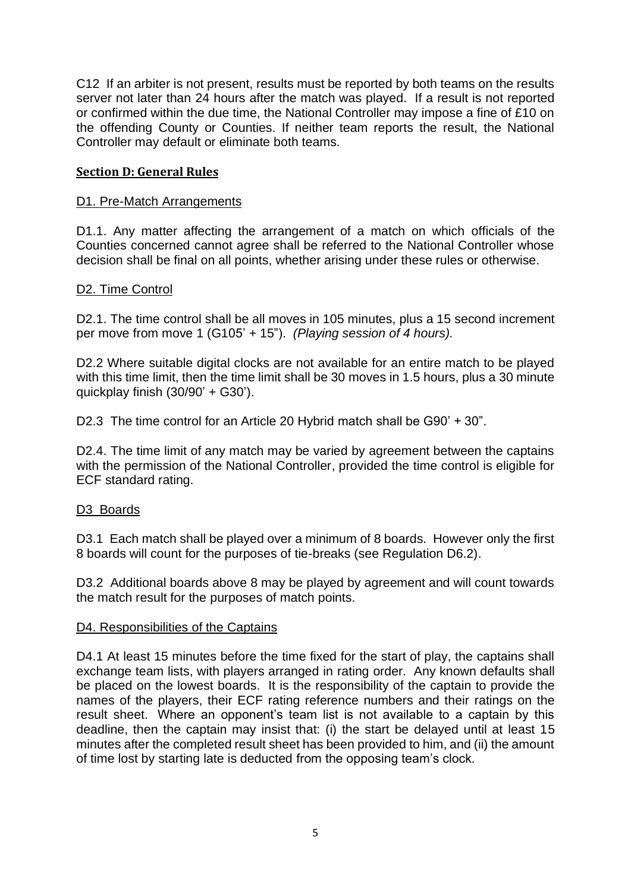C12 If an arbiter is not present, results must be reported by both teams on the results server not later than 24 hours after the match was played. If a result is not reported or confirmed within the due time, the National Controller may impose a fine of £10 on the offending County or Counties. If neither team reports the result, the National Controller may default or eliminate both teams.

## **Section D: General Rules**

## D1. Pre-Match Arrangements

D1.1. Any matter affecting the arrangement of a match on which officials of the Counties concerned cannot agree shall be referred to the National Controller whose decision shall be final on all points, whether arising under these rules or otherwise.

## D2. Time Control

D2.1. The time control shall be all moves in 105 minutes, plus a 15 second increment per move from move 1 (G105' + 15"). *(Playing session of 4 hours).*

D2.2 Where suitable digital clocks are not available for an entire match to be played with this time limit, then the time limit shall be 30 moves in 1.5 hours, plus a 30 minute quickplay finish (30/90' + G30').

D2.3 The time control for an Article 20 Hybrid match shall be G90' + 30".

D2.4. The time limit of any match may be varied by agreement between the captains with the permission of the National Controller, provided the time control is eligible for ECF standard rating.

## D3 Boards

D3.1 Each match shall be played over a minimum of 8 boards. However only the first 8 boards will count for the purposes of tie-breaks (see Regulation D6.2).

D3.2 Additional boards above 8 may be played by agreement and will count towards the match result for the purposes of match points.

## D4. Responsibilities of the Captains

D4.1 At least 15 minutes before the time fixed for the start of play, the captains shall exchange team lists, with players arranged in rating order. Any known defaults shall be placed on the lowest boards. It is the responsibility of the captain to provide the names of the players, their ECF rating reference numbers and their ratings on the result sheet. Where an opponent's team list is not available to a captain by this deadline, then the captain may insist that: (i) the start be delayed until at least 15 minutes after the completed result sheet has been provided to him, and (ii) the amount of time lost by starting late is deducted from the opposing team's clock.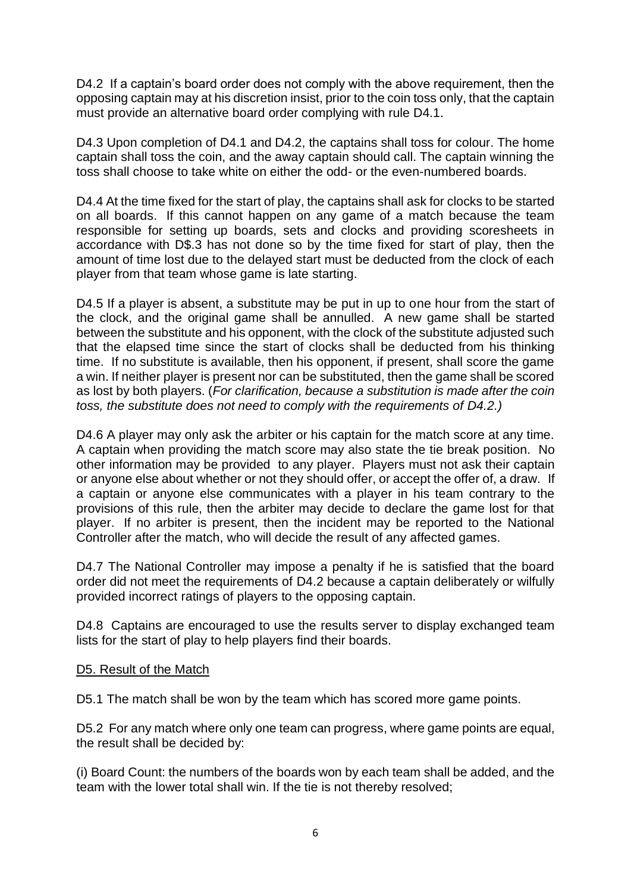D4.2 If a captain's board order does not comply with the above requirement, then the opposing captain may at his discretion insist, prior to the coin toss only, that the captain must provide an alternative board order complying with rule D4.1.

D4.3 Upon completion of D4.1 and D4.2, the captains shall toss for colour. The home captain shall toss the coin, and the away captain should call. The captain winning the toss shall choose to take white on either the odd- or the even-numbered boards.

D4.4 At the time fixed for the start of play, the captains shall ask for clocks to be started on all boards. If this cannot happen on any game of a match because the team responsible for setting up boards, sets and clocks and providing scoresheets in accordance with D\$.3 has not done so by the time fixed for start of play, then the amount of time lost due to the delayed start must be deducted from the clock of each player from that team whose game is late starting.

D4.5 If a player is absent, a substitute may be put in up to one hour from the start of the clock, and the original game shall be annulled. A new game shall be started between the substitute and his opponent, with the clock of the substitute adjusted such that the elapsed time since the start of clocks shall be deducted from his thinking time. If no substitute is available, then his opponent, if present, shall score the game a win. If neither player is present nor can be substituted, then the game shall be scored as lost by both players. (*For clarification, because a substitution is made after the coin toss, the substitute does not need to comply with the requirements of D4.2.)*

D4.6 A player may only ask the arbiter or his captain for the match score at any time. A captain when providing the match score may also state the tie break position. No other information may be provided to any player. Players must not ask their captain or anyone else about whether or not they should offer, or accept the offer of, a draw. If a captain or anyone else communicates with a player in his team contrary to the provisions of this rule, then the arbiter may decide to declare the game lost for that player. If no arbiter is present, then the incident may be reported to the National Controller after the match, who will decide the result of any affected games.

D4.7 The National Controller may impose a penalty if he is satisfied that the board order did not meet the requirements of D4.2 because a captain deliberately or wilfully provided incorrect ratings of players to the opposing captain.

D4.8 Captains are encouraged to use the results server to display exchanged team lists for the start of play to help players find their boards.

## D5. Result of the Match

D5.1 The match shall be won by the team which has scored more game points.

D5.2 For any match where only one team can progress, where game points are equal, the result shall be decided by:

(i) Board Count: the numbers of the boards won by each team shall be added, and the team with the lower total shall win. If the tie is not thereby resolved;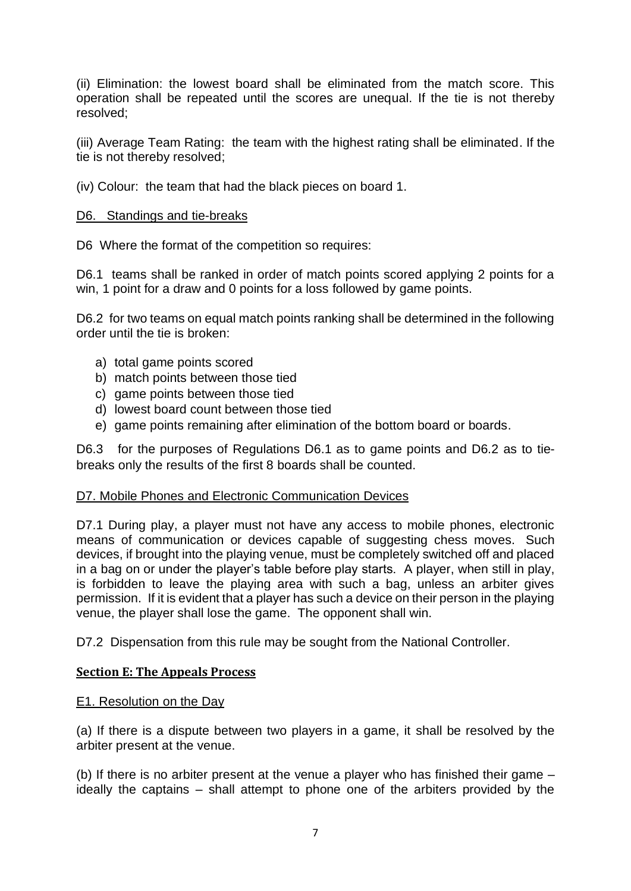(ii) Elimination: the lowest board shall be eliminated from the match score. This operation shall be repeated until the scores are unequal. If the tie is not thereby resolved;

(iii) Average Team Rating: the team with the highest rating shall be eliminated. If the tie is not thereby resolved;

(iv) Colour: the team that had the black pieces on board 1.

### D6. Standings and tie-breaks

D6 Where the format of the competition so requires:

D6.1 teams shall be ranked in order of match points scored applying 2 points for a win, 1 point for a draw and 0 points for a loss followed by game points.

D6.2 for two teams on equal match points ranking shall be determined in the following order until the tie is broken:

- a) total game points scored
- b) match points between those tied
- c) game points between those tied
- d) lowest board count between those tied
- e) game points remaining after elimination of the bottom board or boards.

D6.3 for the purposes of Regulations D6.1 as to game points and D6.2 as to tiebreaks only the results of the first 8 boards shall be counted.

#### D7. Mobile Phones and Electronic Communication Devices

D7.1 During play, a player must not have any access to mobile phones, electronic means of communication or devices capable of suggesting chess moves. Such devices, if brought into the playing venue, must be completely switched off and placed in a bag on or under the player's table before play starts. A player, when still in play, is forbidden to leave the playing area with such a bag, unless an arbiter gives permission. If it is evident that a player has such a device on their person in the playing venue, the player shall lose the game. The opponent shall win.

D7.2 Dispensation from this rule may be sought from the National Controller.

## **Section E: The Appeals Process**

#### E1. Resolution on the Day

(a) If there is a dispute between two players in a game, it shall be resolved by the arbiter present at the venue.

(b) If there is no arbiter present at the venue a player who has finished their game – ideally the captains – shall attempt to phone one of the arbiters provided by the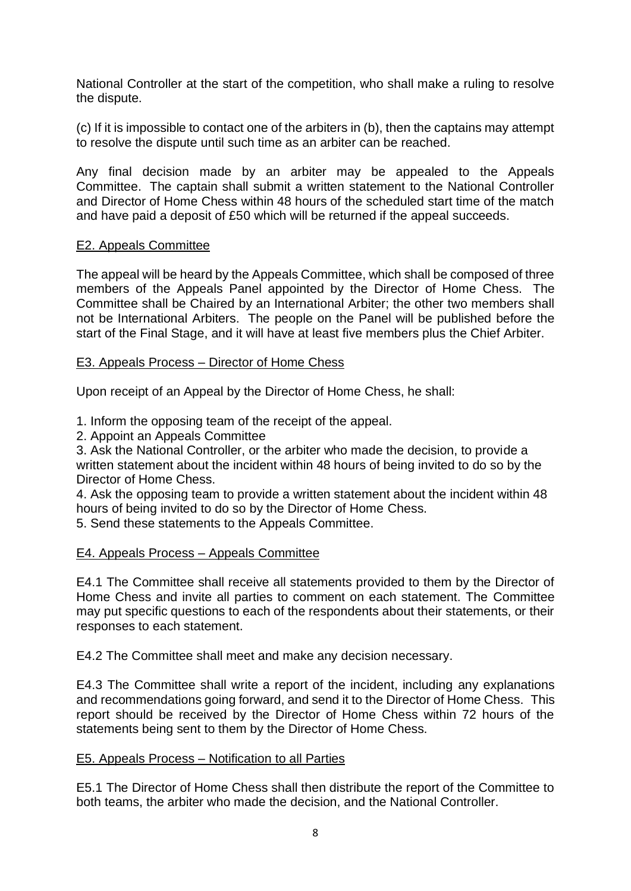National Controller at the start of the competition, who shall make a ruling to resolve the dispute.

(c) If it is impossible to contact one of the arbiters in (b), then the captains may attempt to resolve the dispute until such time as an arbiter can be reached.

Any final decision made by an arbiter may be appealed to the Appeals Committee. The captain shall submit a written statement to the National Controller and Director of Home Chess within 48 hours of the scheduled start time of the match and have paid a deposit of £50 which will be returned if the appeal succeeds.

## E2. Appeals Committee

The appeal will be heard by the Appeals Committee, which shall be composed of three members of the Appeals Panel appointed by the Director of Home Chess. The Committee shall be Chaired by an International Arbiter; the other two members shall not be International Arbiters. The people on the Panel will be published before the start of the Final Stage, and it will have at least five members plus the Chief Arbiter.

## E3. Appeals Process – Director of Home Chess

Upon receipt of an Appeal by the Director of Home Chess, he shall:

1. Inform the opposing team of the receipt of the appeal.

2. Appoint an Appeals Committee

3. Ask the National Controller, or the arbiter who made the decision, to provide a written statement about the incident within 48 hours of being invited to do so by the Director of Home Chess.

4. Ask the opposing team to provide a written statement about the incident within 48 hours of being invited to do so by the Director of Home Chess.

5. Send these statements to the Appeals Committee.

## E4. Appeals Process – Appeals Committee

E4.1 The Committee shall receive all statements provided to them by the Director of Home Chess and invite all parties to comment on each statement. The Committee may put specific questions to each of the respondents about their statements, or their responses to each statement.

E4.2 The Committee shall meet and make any decision necessary.

E4.3 The Committee shall write a report of the incident, including any explanations and recommendations going forward, and send it to the Director of Home Chess. This report should be received by the Director of Home Chess within 72 hours of the statements being sent to them by the Director of Home Chess.

## E5. Appeals Process – Notification to all Parties

E5.1 The Director of Home Chess shall then distribute the report of the Committee to both teams, the arbiter who made the decision, and the National Controller.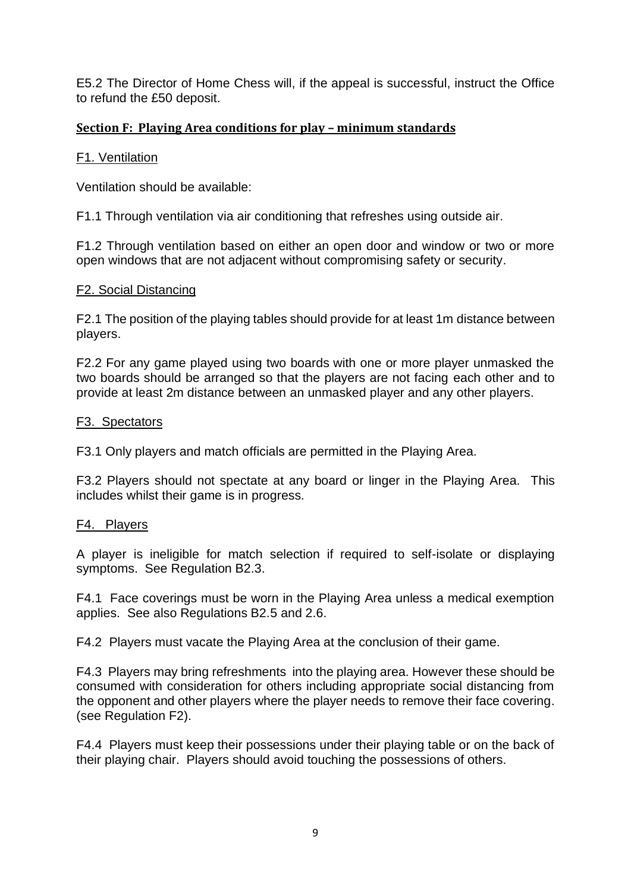E5.2 The Director of Home Chess will, if the appeal is successful, instruct the Office to refund the £50 deposit.

# **Section F: Playing Area conditions for play – minimum standards**

## F1. Ventilation

Ventilation should be available:

F1.1 Through ventilation via air conditioning that refreshes using outside air.

F1.2 Through ventilation based on either an open door and window or two or more open windows that are not adjacent without compromising safety or security.

## F2. Social Distancing

F2.1 The position of the playing tables should provide for at least 1m distance between players.

F2.2 For any game played using two boards with one or more player unmasked the two boards should be arranged so that the players are not facing each other and to provide at least 2m distance between an unmasked player and any other players.

## F3. Spectators

F3.1 Only players and match officials are permitted in the Playing Area.

F3.2 Players should not spectate at any board or linger in the Playing Area. This includes whilst their game is in progress.

## F4. Players

A player is ineligible for match selection if required to self-isolate or displaying symptoms. See Regulation B2.3.

F4.1 Face coverings must be worn in the Playing Area unless a medical exemption applies. See also Regulations B2.5 and 2.6.

F4.2 Players must vacate the Playing Area at the conclusion of their game.

F4.3 Players may bring refreshments into the playing area. However these should be consumed with consideration for others including appropriate social distancing from the opponent and other players where the player needs to remove their face covering. (see Regulation F2).

F4.4 Players must keep their possessions under their playing table or on the back of their playing chair. Players should avoid touching the possessions of others.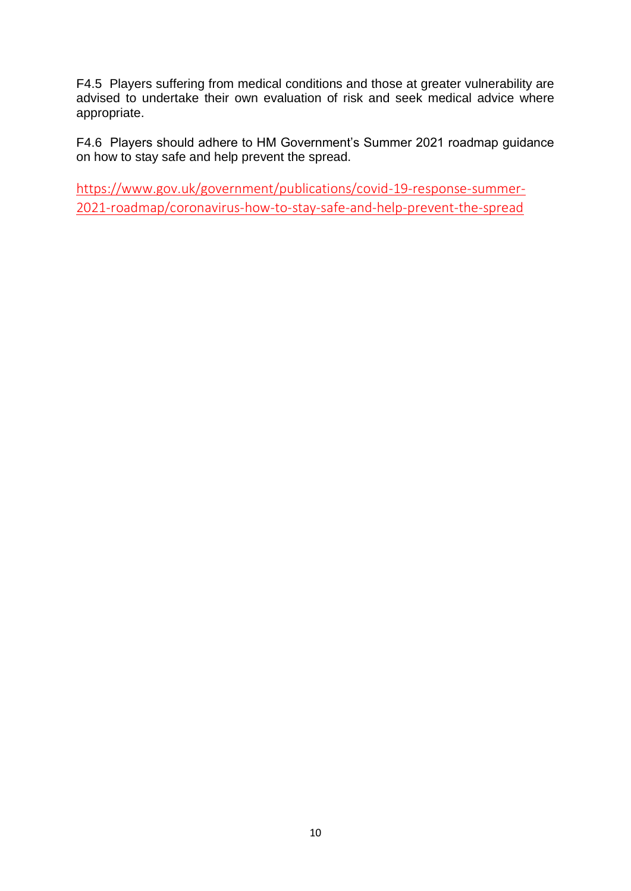F4.5 Players suffering from medical conditions and those at greater vulnerability are advised to undertake their own evaluation of risk and seek medical advice where appropriate.

F4.6 Players should adhere to HM Government's Summer 2021 roadmap guidance on how to stay safe and help prevent the spread.

[https://www.gov.uk/government/publications/covid-19-response-summer-](https://www.gov.uk/government/publications/covid-19-response-summer-2021-roadmap/coronavirus-how-to-stay-safe-and-help-prevent-the-spread)[2021-roadmap/coronavirus-how-to-stay-safe-and-help-prevent-the-spread](https://www.gov.uk/government/publications/covid-19-response-summer-2021-roadmap/coronavirus-how-to-stay-safe-and-help-prevent-the-spread)